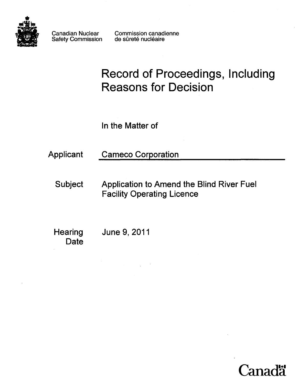

Canadian Nuclear Safety Commission Commission canadienne de sûreté nucléaire

# Record of Proceedings, Including Reasons for Decision

In the Matter of

Applicant Cameco Corporation

Subject Application to Amend the Blind River Fuel Facility Operating Licence

**Hearing** Date June 9,2011

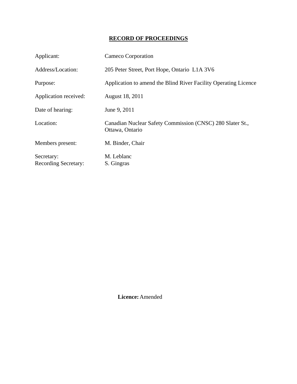## **RECORD OF PROCEEDINGS**

| Applicant:                                | Cameco Corporation                                                           |
|-------------------------------------------|------------------------------------------------------------------------------|
| Address/Location:                         | 205 Peter Street, Port Hope, Ontario L1A 3V6                                 |
| Purpose:                                  | Application to amend the Blind River Facility Operating Licence              |
| Application received:                     | August 18, 2011                                                              |
| Date of hearing:                          | June 9, 2011                                                                 |
| Location:                                 | Canadian Nuclear Safety Commission (CNSC) 280 Slater St.,<br>Ottawa, Ontario |
| Members present:                          | M. Binder, Chair                                                             |
| Secretary:<br><b>Recording Secretary:</b> | M. Leblanc<br>S. Gingras                                                     |

 **Licence:** Amended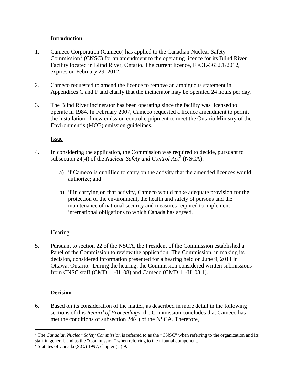#### **Introduction**

- <span id="page-3-0"></span>1. Cameco Corporation (Cameco) has applied to the Canadian Nuclear Safety  $Commission<sup>1</sup>$  $Commission<sup>1</sup>$  $Commission<sup>1</sup>$  (CNSC) for an amendment to the operating licence for its Blind River Facility located in Blind River, Ontario. The current licence, FFOL-3632.1/2012, expires on February 29, 2012.
- 2. Cameco requested to amend the licence to remove an ambiguous statement in Appendices C and F and clarify that the incinerator may be operated 24 hours per day.
- 3. The Blind River incinerator has been operating since the facility was licensed to operate in 1984. In February 2007, Cameco requested a licence amendment to permit the installation of new emission control equipment to meet the Ontario Ministry of the Environment's (MOE) emission guidelines.

#### Issue

- 4. In considering the application, the Commission was required to decide, pursuant to subsection [2](#page-3-2)4(4) of the *Nuclear Safety and Control Act*<sup>2</sup> (NSCA):
	- a) if Cameco is qualified to carry on the activity that the amended licences would authorize; and
	- b) if in carrying on that activity, Cameco would make adequate provision for the protection of the environment, the health and safety of persons and the maintenance of national security and measures required to implement international obligations to which Canada has agreed.

### **Hearing**

5. Pursuant to section 22 of the NSCA, the President of the Commission established a Panel of the Commission to review the application. The Commission, in making its decision, considered information presented for a hearing held on June 9, 2011 in Ottawa, Ontario. During the hearing, the Commission considered written submissions from CNSC staff (CMD 11-H108) and Cameco (CMD 11-H108.1).

### **Decision**

6. Based on its consideration of the matter, as described in more detail in the following sections of this *Record of Proceedings*, the Commission concludes that Cameco has met the conditions of subsection 24(4) of the NSCA. Therefore,

<span id="page-3-1"></span> $\overline{a}$ <sup>1</sup> The *Canadian Nuclear Safety Commission* is referred to as the "CNSC" when referring to the organization and its staff in general, and as the "Commission" when referring to the tribunal component.

<span id="page-3-2"></span> $2$  Statutes of Canada (S.C.) 1997, chapter (c.) 9.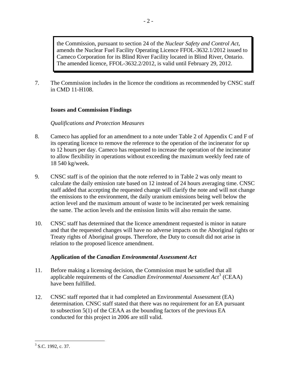<span id="page-4-0"></span>the Commission, pursuant to section 24 of the *Nuclear Safety and Control Act*, amends the Nuclear Fuel Facility Operating Licence FFOL-3632.1/2012 issued to Cameco Corporation for its Blind River Facility located in Blind River, Ontario. The amended licence, FFOL-3632.2/2012, is valid until February 29, 2012.

7. The Commission includes in the licence the conditions as recommended by CNSC staff in CMD 11-H108.

#### **Issues and Commission Findings**

#### *Qualifications and Protection Measures*

- 8. Cameco has applied for an amendment to a note under Table 2 of Appendix C and F of its operating licence to remove the reference to the operation of the incinerator for up to 12 hours per day. Cameco has requested to increase the operation of the incinerator to allow flexibility in operations without exceeding the maximum weekly feed rate of 18 540 kg/week.
- 9. CNSC staff is of the opinion that the note referred to in Table 2 was only meant to calculate the daily emission rate based on 12 instead of 24 hours averaging time. CNSC staff added that accepting the requested change will clarify the note and will not change the emissions to the environment, the daily uranium emissions being well below the action level and the maximum amount of waste to be incinerated per week remaining the same. The action levels and the emission limits will also remain the same.
- 10. CNSC staff has determined that the licence amendment requested is minor in nature and that the requested changes will have no adverse impacts on the Aboriginal rights or Treaty rights of Aboriginal groups. Therefore, the Duty to consult did not arise in relation to the proposed licence amendment.

### **Application of the** *Canadian Environmental Assessment Act*

- 11. Before making a licensing decision, the Commission must be satisfied that all applicable requirements of the *Canadian Environmental Assessment Act*<sup>[3](#page-4-1)</sup> (CEAA) have been fulfilled.
- 12. CNSC staff reported that it had completed an Environmental Assessment (EA) determination. CNSC staff stated that there was no requirement for an EA pursuant to subsection 5(1) of the CEAA as the bounding factors of the previous EA conducted for this project in 2006 are still valid.

<span id="page-4-1"></span> $\overline{a}$  $3$  S.C. 1992, c. 37.